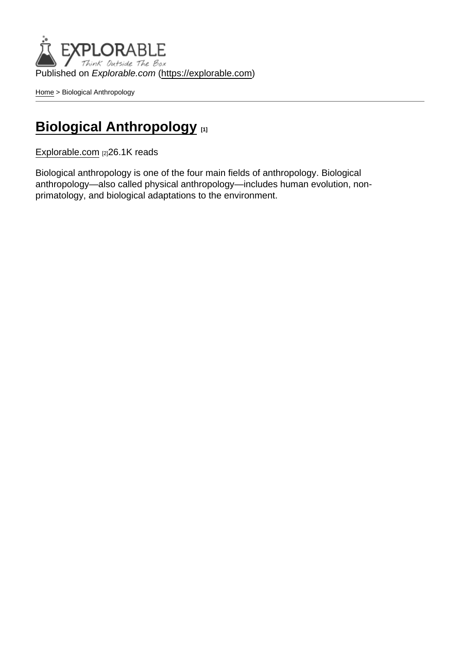Published on Explorable.com (<https://explorable.com>)

[Home](https://explorable.com/) > Biological Anthropology

## **[Biological Anthropology](https://explorable.com/biological-anthropology)** [1]

[Explorable.com](https://explorable.com/) [2]26.1K reads

Biological anthropology is one of the four main fields of anthropology. Biological anthropology—also called physical anthropology—includes human evolution, nonprimatology, and biological adaptations to the environment.